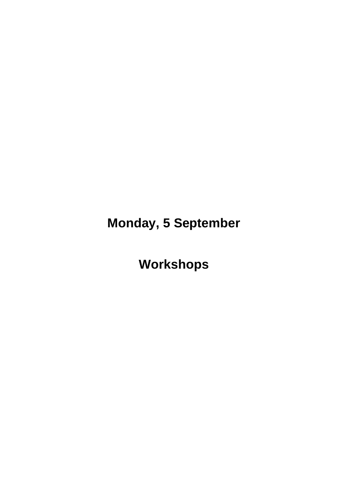**Monday, 5 September**

**Workshops**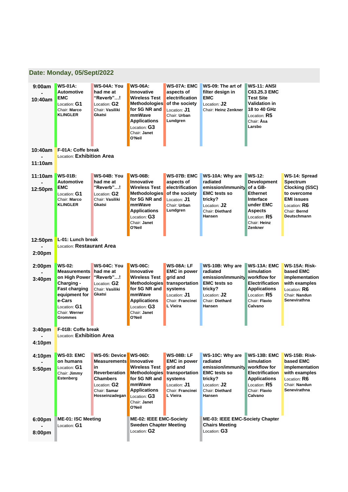|                    | Date: Monday, 05/Sept/2022                                                                                                         |                                                                                                                                                     |                                                                                                                                                                                         |                                                                                                                                          |                                                                                                                                        |                                                                                                                                                             |                                                                                                                                       |  |  |
|--------------------|------------------------------------------------------------------------------------------------------------------------------------|-----------------------------------------------------------------------------------------------------------------------------------------------------|-----------------------------------------------------------------------------------------------------------------------------------------------------------------------------------------|------------------------------------------------------------------------------------------------------------------------------------------|----------------------------------------------------------------------------------------------------------------------------------------|-------------------------------------------------------------------------------------------------------------------------------------------------------------|---------------------------------------------------------------------------------------------------------------------------------------|--|--|
| 9:00am<br>10:40am  | <b>WS-01A:</b><br><b>Automotive</b><br><b>EMC</b><br>Location: G1<br>Chair: Marco<br><b>KLINGLER</b>                               | WS-04A: You<br>had me at<br>"Reverb"!<br>Location: ${\bf G2}$<br>Chair: Vasiliki<br>Gkatsi                                                          | <b>WS-06A:</b><br><b>Innovative</b><br><b>Wireless Test</b><br><b>Methodologies</b><br>for 5G NR and<br>mmWave<br><b>Applications</b><br>Location: G3<br>Chair: Janet<br>O'Neil         | <b>WS-07A: EMC</b><br>aspects of<br>electrification<br>of the society<br>Location: <b>J1</b><br>Chair: Urban<br>Lundgren                 | WS-09: The art of<br>filter design in<br><b>EMC</b><br>Location: <b>J2</b><br>Chair: Heinz Zenkner                                     | <b>WS-11: ANSI</b><br>C63.25.3 EMC<br><b>Test Site</b><br>Validation in<br>18 to 40 GHz<br>Location: $R5$<br>Chair: <b>Åsa</b><br>Larsbo                    |                                                                                                                                       |  |  |
| 10:40am            | F-01A: Coffe break<br>Location: Exhibition Area                                                                                    |                                                                                                                                                     |                                                                                                                                                                                         |                                                                                                                                          |                                                                                                                                        |                                                                                                                                                             |                                                                                                                                       |  |  |
| 11:10am            |                                                                                                                                    |                                                                                                                                                     |                                                                                                                                                                                         |                                                                                                                                          |                                                                                                                                        |                                                                                                                                                             |                                                                                                                                       |  |  |
| 11:10am<br>12:50pm | <b>WS-01B:</b><br><b>Automotive</b><br>EMC<br>Location: G1<br>Chair: Marco<br><b>KLINGLER</b>                                      | WS-04B: You<br>had me at<br>"Reverb"!<br>Location: G2<br>Chair: Vasiliki<br>Gkatsi                                                                  | <b>WS-06B:</b><br><b>Innovative</b><br><b>Wireless Test</b><br><b>Methodologies</b><br>for 5G NR and<br>mmWave<br><b>Applications</b><br>Location: ${\bf G3}$<br>Chair: Janet<br>O'Neil | <b>WS-07B: EMC</b><br>aspects of<br>electrification<br>of the society<br>Location: <b>J1</b><br>Chair: Urban<br>Lundgren                 | WS-10A: Why are<br>radiated<br>emission/immunity<br><b>EMC tests so</b><br>tricky?<br>Location: J2<br>Chair: Diethard<br>Hansen        | <b>WS-12:</b><br><b>Development</b><br>of a GB-<br>Ethernet<br><b>Interface</b><br>under EMC<br><b>Aspects</b><br>Location: $R5$<br>Chair: Heinz<br>Zenkner | WS-14: Spread<br>Spectrum<br><b>Clocking (SSC)</b><br>to overcome<br><b>EMI issues</b><br>Location: R6<br>Chair: Bernd<br>Deutschmann |  |  |
| 12:50pm            | L-01: Lunch break                                                                                                                  |                                                                                                                                                     |                                                                                                                                                                                         |                                                                                                                                          |                                                                                                                                        |                                                                                                                                                             |                                                                                                                                       |  |  |
| 2:00pm             | Location: Restaurant Area                                                                                                          |                                                                                                                                                     |                                                                                                                                                                                         |                                                                                                                                          |                                                                                                                                        |                                                                                                                                                             |                                                                                                                                       |  |  |
| 2:00pm             | <b>WS-02:</b><br><b>Measurements</b>                                                                                               | WS-04C: You<br>had me at                                                                                                                            | <b>WS-06C:</b><br><b>Innovative</b>                                                                                                                                                     | <b>WS-08A: LF</b><br><b>EMC</b> in power                                                                                                 | WS-10B: Why are<br>radiated                                                                                                            | <b>WS-13A: EMC</b><br>simulation                                                                                                                            | WS-15A: Risk-<br>based EMC                                                                                                            |  |  |
| 3:40 <sub>pm</sub> | on High Power<br>Charging -<br><b>Fast charging</b><br>equipment for<br>e-Cars<br>Location: ${\bf G1}$<br>Chair: Werner<br>Grommes | "Reverb"!<br>Location: G2<br>Chair: Vasiliki<br>Gkatsi                                                                                              | <b>Wireless Test</b><br><b>Methodologies</b><br>for 5G NR and<br>mmWave<br><b>Applications</b><br>Location: ${\bf G3}$<br>Chair: Janet<br>O'Neil                                        | grid and<br>transportation<br>systems<br>Location: <b>J1</b><br>Chair: Francinei<br>L Vieira                                             | emission/immunity<br><b>EMC tests so</b><br>tricky?<br>Location: J2<br>Chair: Diethard<br>Hansen                                       | workflow for<br>Electrification<br><b>Applications</b><br>Location: $R5$<br>Chair: Flavio<br>Calvano                                                        | implementation<br>with examples<br>Location: R6<br>Chair: Nandun<br>Senevirathna                                                      |  |  |
| 3:40pm             | F-01B: Coffe break<br><b>Location: Exhibition Area</b>                                                                             |                                                                                                                                                     |                                                                                                                                                                                         |                                                                                                                                          |                                                                                                                                        |                                                                                                                                                             |                                                                                                                                       |  |  |
| 4:10pm             |                                                                                                                                    |                                                                                                                                                     |                                                                                                                                                                                         |                                                                                                                                          |                                                                                                                                        |                                                                                                                                                             |                                                                                                                                       |  |  |
| 4:10pm<br>5:50pm   | <b>WS-03: EMC</b><br>on humans<br>Location: G1<br>Chair: Jimmy<br>Estenberg                                                        | WS-05: Device WS-06D:<br><b>Measurements</b> Innovative<br>in<br><b>Reverberation</b><br>Chambers<br>Location: G2<br>Chair: Samar<br>Hosseinzadegan | <b>Wireless Test</b><br><b>Methodologies</b><br>for 5G NR and<br>mmWave<br><b>Applications</b><br>Location: G3<br>Chair: Janet<br>O'Neil                                                | <b>WS-08B: LF</b><br><b>EMC</b> in power<br>grid and<br>transportation<br>systems<br>Location: <b>J1</b><br>Chair: Francinei<br>L Vieira | WS-10C: Why are<br>radiated<br>emission/immunity<br><b>EMC tests so</b><br>tricky?<br>Location: J2<br>Chair: Diethard<br><b>Hansen</b> | <b>WS-13B: EMC</b><br>simulation<br>workflow for<br><b>Electrification</b><br><b>Applications</b><br>Location: R5<br>Chair: Flavio<br>Calvano               | <b>WS-15B: Risk-</b><br>based EMC<br>implementation<br>with examples<br>Location: $R6$<br>Chair: Nandun<br><b>Senevirathna</b>        |  |  |
| 6:00pm<br>8:00pm   | <b>ME-01: ISC Meeting</b><br>Location: ${\bf G1}$                                                                                  |                                                                                                                                                     | <b>ME-02: IEEE EMC-Society</b><br><b>Sweden Chapter Meeting</b><br>Location: G2                                                                                                         |                                                                                                                                          | <b>ME-03: IEEE EMC-Society Chapter</b><br><b>Chairs Meeting</b><br>Location: $G3$                                                      |                                                                                                                                                             |                                                                                                                                       |  |  |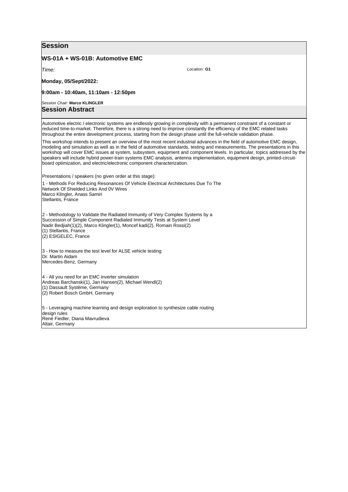#### **WS-01A + WS-01B: Automotive EMC**

*Time:* 

**Monday, 05/Sept/2022:** 

**9:00am - 10:40am, 11:10am - 12:50pm**

#### *Session Chair:* **Marco KLINGLER**

**Session Abstract**

Automotive electric / electronic systems are endlessly growing in complexity with a permanent constraint of a constant or reduced time-to-market. Therefore, there is a strong need to improve constantly the efficiency of the EMC related tasks throughout the entire development process, starting from the design phase until the full-vehicle validation phase.

This workshop intends to present an overview of the most recent industrial advances in the field of automotive EMC design, modeling and simulation as well as in the field of automotive standards, testing and measurements. The presentations in this workshop will cover EMC issues at system, subsystem, equipment and component levels. In particular, topics addressed by the speakers will include hybrid power-train systems EMC analysis, antenna implementation, equipment design, printed-circuitboard optimization, and electric/electronic component characterization.

*Location:* **G1**

Presentations / speakers (no given order at this stage):

1 - Methods For Reducing Resonances Of Vehicle Electrical Architectures Due To The Network Of Shielded Links And 0V Wires Marco Klingler, Anass Samiri Stellantis, France 2 - Methodology to Validate the Radiated Immunity of Very Complex Systems by a Succession of Simple Component Radiated Immunity Tests at System Level Nadir Bedjiah(1)(2), Marco Klingler(1), Moncef kadi(2), Romain Rossi(2) (1) Stellantis, France (2) ESIGELEC, France 3 - How to measure the test level for ALSE vehicle testing Dr. Martin Aidam Mercedes-Benz, Germany 4 - All you need for an EMC inverter simulation Andreas Barchanski(1), Jan Hansen(2), Michael Wendl(2) (1) Dassault Système, Germany (2) Robert Bosch GmbH, Germany 5 - Leveraging machine learning and design exploration to synthesize cable routing design rules René Fiedler, Diana Mavrudieva Altair, Germany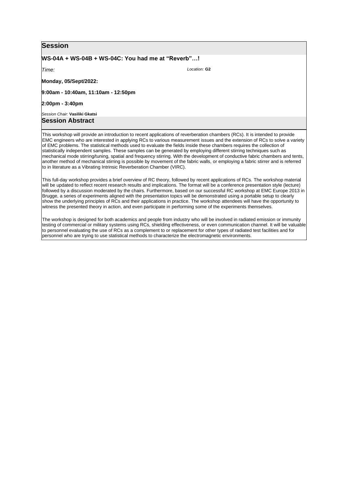#### **WS-04A + WS-04B + WS-04C: You had me at "Reverb"…!**

*Time:* 

**Monday, 05/Sept/2022:** 

**9:00am - 10:40am, 11:10am - 12:50pm**

**2:00pm - 3:40pm**

*Session Chair:* **Vasiliki Gkatsi Session Abstract**

This workshop will provide an introduction to recent applications of reverberation chambers (RCs). It is intended to provide EMC engineers who are interested in applying RCs to various measurement issues and the extension of RCs to solve a variety of EMC problems. The statistical methods used to evaluate the fields inside these chambers requires the collection of statistically independent samples. These samples can be generated by employing different stirring techniques such as mechanical mode stirring/tuning, spatial and frequency stirring. With the development of conductive fabric chambers and tents, another method of mechanical stirring is possible by movement of the fabric walls, or employing a fabric stirrer and is referred to in literature as a Vibrating Intrinsic Reverberation Chamber (VIRC).

This full-day workshop provides a brief overview of RC theory, followed by recent applications of RCs. The workshop material will be updated to reflect recent research results and implications. The format will be a conference presentation style (lecture) followed by a discussion moderated by the chairs. Furthermore, based on our successful RC workshop at EMC Europe 2013 in Brugge, a series of experiments aligned with the presentation topics will be demonstrated using a portable setup to clearly show the underlying principles of RCs and their applications in practice. The workshop attendees will have the opportunity to witness the presented theory in action, and even participate in performing some of the experiments themselves.

The workshop is designed for both academics and people from industry who will be involved in radiated emission or immunity testing of commercial or military systems using RCs, shielding effectiveness, or even communication channel. It will be valuable to personnel evaluating the use of RCs as a complement to or replacement for other types of radiated test facilities and for personnel who are trying to use statistical methods to characterize the electromagnetic environments.

*Location:* **G2**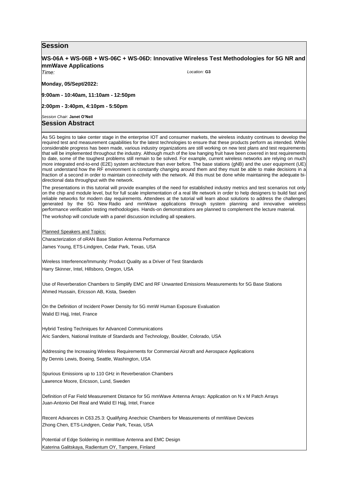## **WS-06A + WS-06B + WS-06C + WS-06D: Innovative Wireless Test Methodologies for 5G NR and mmWave Applications**

*Location:* **G3**

*Time:* 

**Monday, 05/Sept/2022:** 

**9:00am - 10:40am, 11:10am - 12:50pm**

**2:00pm - 3:40pm, 4:10pm - 5:50pm**

*Session Chair:* **Janet O'Neil Session Abstract**

As 5G begins to take center stage in the enterprise IOT and consumer markets, the wireless industry continues to develop the required test and measurement capabilities for the latest technologies to ensure that these products perform as intended. While considerable progress has been made, various industry organizations are still working on new test plans and test requirements that will be implemented throughout the industry. Although much of the low hanging fruit have been covered in test requirements to date, some of the toughest problems still remain to be solved. For example, current wireless networks are relying on much more integrated end-to-end (E2E) system architecture than ever before. The base stations (gNB) and the user equipment (UE) must understand how the RF environment is constantly changing around them and they must be able to make decisions in a fraction of a second in order to maintain connectivity with the network. All this must be done while maintaining the adequate bidirectional data throughput with the network.

The presentations in this tutorial will provide examples of the need for established industry metrics and test scenarios not only on the chip and module level, but for full scale implementation of a real life network in order to help designers to build fast and reliable networks for modern day requirements. Attendees at the tutorial will learn about solutions to address the challenges generated by the 5G New Radio and mmWave applications through system planning and innovative wireless performance verification testing methodologies. Hands-on demonstrations are planned to complement the lecture material.

The workshop will conclude with a panel discussion including all speakers.

Planned Speakers and Topics:

Characterization of oRAN Base Station Antenna Performance James Young, ETS-Lindgren, Cedar Park, Texas, USA

Wireless Interference/Immunity: Product Quality as a Driver of Test Standards Harry Skinner, Intel, Hillsboro, Oregon, USA

Use of Reverberation Chambers to Simplify EMC and RF Unwanted Emissions Measurements for 5G Base Stations Ahmed Hussain, Ericsson AB, Kista, Sweden

On the Definition of Incident Power Density for 5G mmW Human Exposure Evaluation Walid El Hajj, Intel, France

Hybrid Testing Techniques for Advanced Communications Aric Sanders, National Institute of Standards and Technology, Boulder, Colorado, USA

Addressing the Increasing Wireless Requirements for Commercial Aircraft and Aerospace Applications By Dennis Lewis, Boeing, Seattle, Washington, USA

Spurious Emissions up to 110 GHz in Reverberation Chambers Lawrence Moore, Ericsson, Lund, Sweden

Definition of Far Field Measurement Distance for 5G mmWave Antenna Arrays: Application on N x M Patch Arrays Juan-Antonio Del Real and Walid El Hajj, Intel, France

Recent Advances in C63.25.3: Qualifying Anechoic Chambers for Measurements of mmWave Devices Zhong Chen, ETS-Lindgren, Cedar Park, Texas, USA

Potential of Edge Soldering in mmWave Antenna and EMC Design Katerina Galitskaya, Radientum OY, Tampere, Finland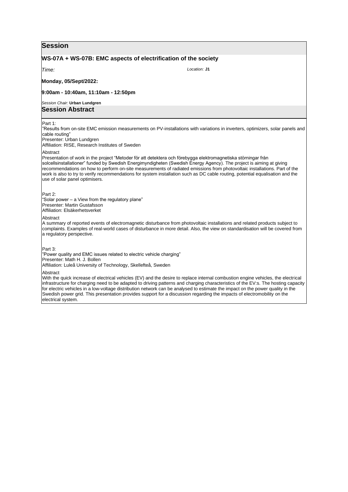## **WS-07A + WS-07B: EMC aspects of electrification of the society** *Time:*  **Monday, 05/Sept/2022: 9:00am - 10:40am, 11:10am - 12:50pm** *Session Chair:* **Urban Lundgren** *Location:* **J1 Session Abstract** Part 1: "Results from on-site EMC emission measurements on PV-installations with variations in inverters, optimizers, solar panels and cable routing" Presenter: Urban Lundgren Affiliation: RISE, Research Institutes of Sweden Abstract Presentation of work in the project "Metoder för att detektera och förebygga elektromagnetiska störningar från solcellsinstallationer" funded by Swedish Energimyndigheten (Swedish Energy Agency). The project is aiming at giving recommendations on how to perform on-site measurements of radiated emissions from photovoltaic installations. Part of the work is also to try to verify recommendations for system installation such as DC cable routing, potential equalisation and the use of solar panel optimisers. Part 2: "Solar power – a View from the regulatory plane" Presenter: Martin Gustafsson Affiliation: Elsäkerhetsverket Abstract A summary of reported events of electromagnetic disturbance from photovoltaic installations and related products subject to complaints. Examples of real-world cases of disturbance in more detail. Also, the view on standardisation will be covered from a regulatory perspective. Part 3: "Power quality and EMC issues related to electric vehicle charging" Presenter: Math H. J. Bollen Affiliation: Luleå University of Technology, Skellefteå, Sweden Abstract With the quick increase of electrical vehicles (EV) and the desire to replace internal combustion engine vehicles, the electrical infrastructure for charging need to be adapted to driving patterns and charging characteristics of the EV:s. The hosting capacity for electric vehicles in a low-voltage distribution network can be analysed to estimate the impact on the power quality in the Swedish power grid. This presentation provides support for a discussion regarding the impacts of electromobility on the electrical system.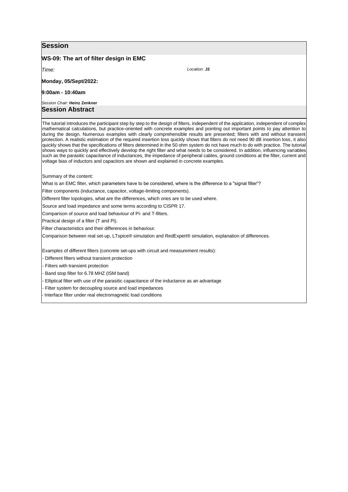## **WS-09: The art of filter design in EMC**

*Time:* 

**Monday, 05/Sept/2022:** 

#### **9:00am - 10:40am**

*Session Chair:* **Heinz Zenkner Session Abstract**

The tutorial introduces the participant step by step to the design of filters, independent of the application, independent of complex mathematical calculations, but practice-oriented with concrete examples and pointing out important points to pay attention to during the design. Numerous examples with clearly comprehensible results are presented; filters with and without transient protection. A realistic estimation of the required insertion loss quickly shows that filters do not need 90 dB insertion loss, it also quickly shows that the specifications of filters determined in the 50 ohm system do not have much to do with practice. The tutorial shows ways to quickly and effectively develop the right filter and what needs to be considered. In addition, influencing variables such as the parasitic capacitance of inductances, the impedance of peripheral cables, ground conditions at the filter, current and voltage bias of inductors and capacitors are shown and explained in concrete examples.

*Location:* **J2**

Summary of the content:

What is an EMC filter, which parameters have to be considered, where is the difference to a "signal filter"?

Filter components (inductance, capacitor, voltage-limiting components).

Different filter topologies, what are the differences, which ones are to be used where.

Source and load impedance and some terms according to CISPR 17.

Comparison of source and load behaviour of Pi- and T-filters.

Practical design of a filter (T and Pi).

Filter characteristics and their differences in behaviour.

Comparison between real set-up, LTspice® simulation and RedExpert® simulation, explanation of differences.

Examples of different filters (concrete set-ups with circuit and measurement results):

- Different filters without transient protection

- Filters with transient protection

- Band stop filter for 6.78 MHZ (ISM band)

- Elliptical filter with use of the parasitic capacitance of the inductance as an advantage

- Filter system for decoupling source and load impedances

Interface filter under real electromagnetic load conditions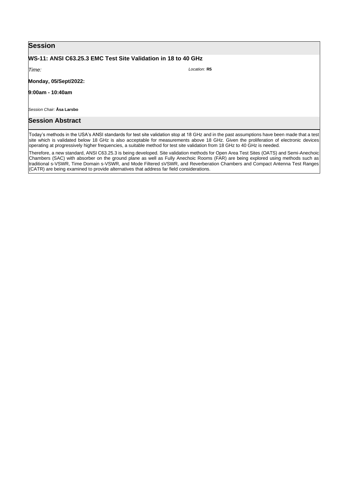# **WS-11: ANSI C63.25.3 EMC Test Site Validation in 18 to 40 GHz**

*Time:* 

**Monday, 05/Sept/2022:** 

**9:00am - 10:40am**

*Session Chair:* **Åsa Larsbo**

# **Session Abstract**

Today's methods in the USA's ANSI standards for test site validation stop at 18 GHz and in the past assumptions have been made that a test site which is validated below 18 GHz is also acceptable for measurements above 18 GHz. Given the proliferation of electronic devices operating at progressively higher frequencies, a suitable method for test site validation from 18 GHz to 40 GHz is needed.

Therefore, a new standard, ANSI C63.25.3 is being developed. Site validation methods for Open Area Test Sites (OATS) and Semi-Anechoic Chambers (SAC) with absorber on the ground plane as well as Fully Anechoic Rooms (FAR) are being explored using methods such as traditional s-VSWR, Time Domain s-VSWR, and Mode Filtered sVSWR, and Reverberation Chambers and Compact Antenna Test Ranges (CATR) are being examined to provide alternatives that address far field considerations.

*Location:* **R5**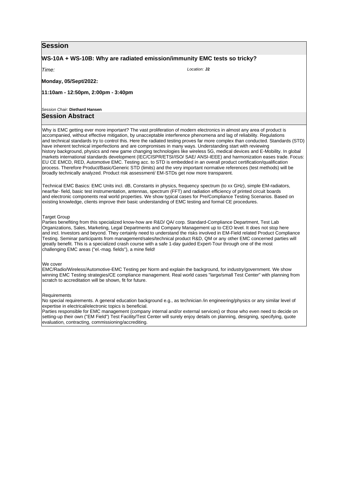## **WS-10A + WS-10B: Why are radiated emission/immunity EMC tests so tricky?**

*Time:* 

**Monday, 05/Sept/2022:** 

**11:10am - 12:50pm, 2:00pm - 3:40pm**

*Session Chair:* **Diethard Hansen**

## **Session Abstract**

Why is EMC getting ever more important? The vast proliferation of modern electronics in almost any area of product is accompanied, without effective mitigation, by unacceptable interference phenomena and lag of reliability. Regulations and technical standards try to control this. Here the radiated testing proves far more complex than conducted. Standards (STD) have inherent technical imperfections and are compromises in many ways. Understanding start with reviewing history background, physics and new game changing technologies like wireless 5G, medical devices and E-Mobility. In global markets international standards development (IEC/CISPR/ETSI/ISO/ SAE/ ANSI-IEEE) and harmonization eases trade. Focus: EU CE EMCD, RED, Automotive EMC. Testing acc. to STD is embedded in an overall product certification/qualification process. Therefore Product/Basic/Generic STD (limits) and the very important normative references (test methods) will be broadly technically analyzed. Product risk assessment/ EM-STDs get now more transparent.

Technical EMC Basics: EMC Units incl. dB, Constants in physics, frequency spectrum (to xx GHz), simple EM-radiators, near/far- field, basic test instrumentation, antennas, spectrum (FFT) and radiation efficiency of printed circuit boards and electronic components real world properties. We show typical cases for Pre/Compliance Testing Scenarios. Based on existing knowledge, clients improve their basic understanding of EMC testing and formal CE procedures.

#### **Target Group**

Parties benefiting from this specialized know-how are R&D/ QA/ corp. Standard-Compliance Department, Test Lab Organizations, Sales, Marketing, Legal Departments and Company Management up to CEO level. It does not stop here and incl. Investors and beyond. They certainly need to understand the risks involved in EM-Field related Product Compliance Testing. Seminar participants from management/sales/technical product R&D, QM or any other EMC concerned parties will greatly benefit. This is a specialized crash course with a safe 1-day guided Expert-Tour through one of the most challenging EMC areas ("el.-mag. fields"), a mine field!

#### We cover

EMC/Radio/Wireless/Automotive-EMC Testing per Norm and explain the background, for industry/government. We show winning EMC Testing strategies/CE compliance management. Real world cases "large/small Test Center" with planning from scratch to accreditation will be shown, fit for future.

#### **Requirements**

No special requirements. A general education background e.g., as technician /in engineering/physics or any similar level of expertise in electrical/electronic topics is beneficial.

Parties responsible for EMC management (company internal and/or external services) or those who even need to decide on setting-up their own ("EM Field") Test Facility/Test Center will surely enjoy details on planning, designing, specifying, quote evaluation, contracting, commissioning/accrediting.

*Location:* **J2**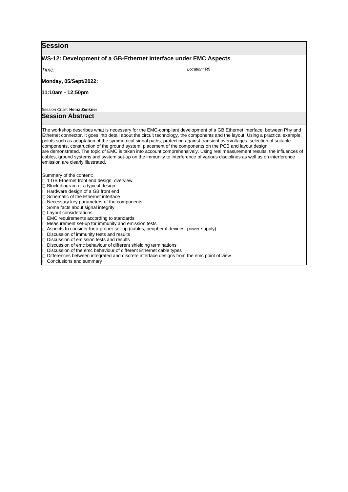| <b>Session</b>                                                                                                                                                                                                                                                                                                                                                                                                                                                                                                                                                                                                                                                                                                |                                                                                                                                                                                                                                                                                                                                                                                                                                                                                                                                                                                                                                                                                                                                                                  |  |  |  |  |  |
|---------------------------------------------------------------------------------------------------------------------------------------------------------------------------------------------------------------------------------------------------------------------------------------------------------------------------------------------------------------------------------------------------------------------------------------------------------------------------------------------------------------------------------------------------------------------------------------------------------------------------------------------------------------------------------------------------------------|------------------------------------------------------------------------------------------------------------------------------------------------------------------------------------------------------------------------------------------------------------------------------------------------------------------------------------------------------------------------------------------------------------------------------------------------------------------------------------------------------------------------------------------------------------------------------------------------------------------------------------------------------------------------------------------------------------------------------------------------------------------|--|--|--|--|--|
| WS-12: Development of a GB-Ethernet Interface under EMC Aspects                                                                                                                                                                                                                                                                                                                                                                                                                                                                                                                                                                                                                                               |                                                                                                                                                                                                                                                                                                                                                                                                                                                                                                                                                                                                                                                                                                                                                                  |  |  |  |  |  |
| Time:                                                                                                                                                                                                                                                                                                                                                                                                                                                                                                                                                                                                                                                                                                         | Location: R5                                                                                                                                                                                                                                                                                                                                                                                                                                                                                                                                                                                                                                                                                                                                                     |  |  |  |  |  |
| <b>Monday, 05/Sept/2022:</b>                                                                                                                                                                                                                                                                                                                                                                                                                                                                                                                                                                                                                                                                                  |                                                                                                                                                                                                                                                                                                                                                                                                                                                                                                                                                                                                                                                                                                                                                                  |  |  |  |  |  |
| 11:10am - 12:50pm                                                                                                                                                                                                                                                                                                                                                                                                                                                                                                                                                                                                                                                                                             |                                                                                                                                                                                                                                                                                                                                                                                                                                                                                                                                                                                                                                                                                                                                                                  |  |  |  |  |  |
| Session Chair: Heinz Zenkner                                                                                                                                                                                                                                                                                                                                                                                                                                                                                                                                                                                                                                                                                  |                                                                                                                                                                                                                                                                                                                                                                                                                                                                                                                                                                                                                                                                                                                                                                  |  |  |  |  |  |
| <b>Session Abstract</b>                                                                                                                                                                                                                                                                                                                                                                                                                                                                                                                                                                                                                                                                                       |                                                                                                                                                                                                                                                                                                                                                                                                                                                                                                                                                                                                                                                                                                                                                                  |  |  |  |  |  |
| emission are clearly illustrated.                                                                                                                                                                                                                                                                                                                                                                                                                                                                                                                                                                                                                                                                             | The workshop describes what is necessary for the EMC-compliant development of a GB Ethernet interface, between Phy and<br>Ethernet connector. It goes into detail about the circuit technology, the components and the layout. Using a practical example,<br>points such as adaptation of the symmetrical signal paths, protection against transient overvoltages, selection of suitable<br>components, construction of the ground system, placement of the components on the PCB and layout design<br>are demonstrated. The topic of EMC is taken into account comprehensively. Using real measurement results, the influences of<br>cables, ground systems and system set-up on the immunity to interference of various disciplines as well as on interference |  |  |  |  |  |
| Summary of the content:<br>□ 1 GB Ethernet front end design, overview<br>$\Box$ Block diagram of a typical design<br>$\Box$ Hardware design of a GB front end<br>□ Schematic of the Ethernet interface<br>$\Box$ Necessary key parameters of the components<br>□ Some facts about signal integrity<br>$\Box$ Layout considerations<br>$\Box$ EMC requirements according to standards<br>$\Box$ Measurement set-up for immunity and emission tests<br>$\Box$ Discussion of immunity tests and results<br>$\Box$ Discussion of emission tests and results<br>$\Box$ Discussion of emc behaviour of different shielding terminations<br>$\Box$ Discussion of the emc behaviour of different Ethernet cable types | $\Box$ Aspects to consider for a proper set-up (cables, peripheral devices, power supply)                                                                                                                                                                                                                                                                                                                                                                                                                                                                                                                                                                                                                                                                        |  |  |  |  |  |

Differences between integrated and discrete interface designs from the emc point of view

Conclusions and summary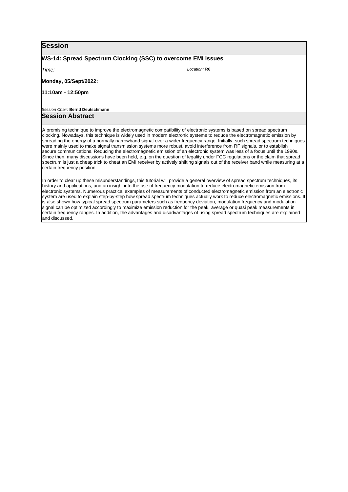## **WS-14: Spread Spectrum Clocking (SSC) to overcome EMI issues**

*Time:* 

*Location:* **R6**

**Monday, 05/Sept/2022:** 

**11:10am - 12:50pm**

*Session Chair:* **Bernd Deutschmann**

## **Session Abstract**

A promising technique to improve the electromagnetic compatibility of electronic systems is based on spread spectrum clocking. Nowadays, this technique is widely used in modern electronic systems to reduce the electromagnetic emission by spreading the energy of a normally narrowband signal over a wider frequency range. Initially, such spread spectrum techniques were mainly used to make signal transmission systems more robust, avoid interference from RF signals, or to establish secure communications. Reducing the electromagnetic emission of an electronic system was less of a focus until the 1990s. Since then, many discussions have been held, e.g. on the question of legality under FCC regulations or the claim that spread spectrum is just a cheap trick to cheat an EMI receiver by actively shifting signals out of the receiver band while measuring at a certain frequency position.

In order to clear up these misunderstandings, this tutorial will provide a general overview of spread spectrum techniques, its history and applications, and an insight into the use of frequency modulation to reduce electromagnetic emission from electronic systems. Numerous practical examples of measurements of conducted electromagnetic emission from an electronic system are used to explain step-by-step how spread spectrum techniques actually work to reduce electromagnetic emissions. It is also shown how typical spread spectrum parameters such as frequency deviation, modulation frequency and modulation signal can be optimized accordingly to maximize emission reduction for the peak, average or quasi peak measurements in certain frequency ranges. In addition, the advantages and disadvantages of using spread spectrum techniques are explained and discussed.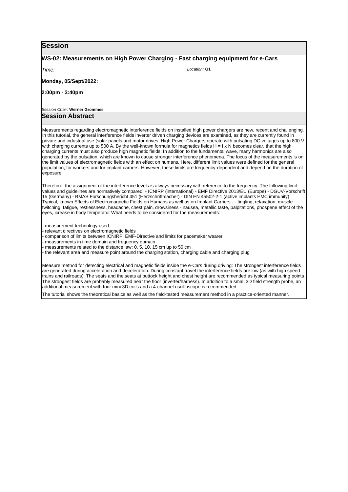#### **WS-02: Measurements on High Power Charging - Fast charging equipment for e-Cars**

*Time:* 

*Location:* **G1**

**Monday, 05/Sept/2022:** 

**2:00pm - 3:40pm**

*Session Chair:* **Werner Grommes**

## **Session Abstract**

Measurements regarding electromagnetic interference fields on installed high power chargers are new, recent and challenging. In this tutorial, the general interference fields inverter driven charging devices are examined, as they are currently found in private and industrial use (solar panels and motor drives. High Power Chargers operate with pulsating DC voltages up to 800 V with charging currents up to 500 A. By the well-known formula for magnetics fields  $H = I \times N$  becomes clear, that the high charging currents must also produce high magnetic fields. In addition to the fundamental wave, many harmonics are also generated by the pulsation, which are known to cause stronger interference phenomena. The focus of the measurements is on the limit values of electromagnetic fields with an effect on humans. Here, different limit values were defined for the general population, for workers and for implant carriers. However, these limits are frequency-dependent and depend on the duration of exposure.

Therefore, the assignment of the interference levels is always necessary with reference to the frequency. The following limit values and guidelines are normatively compared: - ICNIRP (international) - EMF Directive 2013/EU (Europe) - DGUV-Vorschrift 15 (Germany) - BMAS Forschungsbericht 451 (Herzschrittmacher) - DIN EN 45502-2-1 (active implants EMC immunity) Typical, known Effects of Electromagnetic Fields on Humans as well as on Implant Carriers:- - tingling, relaxation, muscle twitching, fatigue, restlessness, headache, chest pain, drowsiness - nausea, metallic taste, palpitations, phospene effect of the eyes, icrease in body temperatur What needs to be considered for the measurements:

- measurement technology used

- relevant directives on electromagnetic fields

- comparison of limits between ICNIRP, EMF-Directive and limits for pacemaker wearer

- measurements in time domain and frequency domain

- measurements related to the distance law: 0, 5, 10, 15 cm up to 50 cm

- the relevant area and measure point around the charging station, charging cable and charging plug

Measure method for detecting electrical and magnetic fields inside the e-Cars during driving: The strongest interference fields are generated during acceleration and deceleration. During constant travel the interference fields are low (as with high speed trains and railroads). The seats and the seats at buttock height and chest height are recommended as typical measuring points. The strongest fields are probably measured near the floor (inverter/harness). In addition to a small 3D field strength probe, an additional measurement with four mini 3D coils and a 4-channel oscilloscope is recommended.

The tutorial shows the theoretical basics as well as the field-tested measurement method in a practice-oriented manner.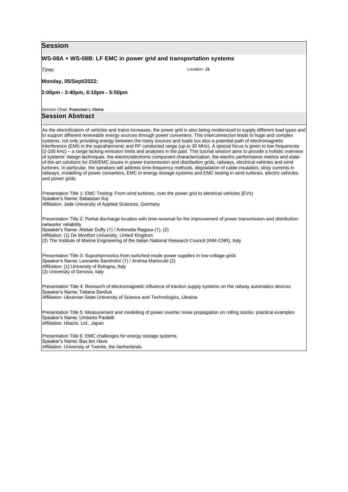#### **WS-08A + WS-08B: LF EMC in power grid and transportation systems**

*Time:* 

**Monday, 05/Sept/2022:** 

**2:00pm - 3:40pm, 4:10pm - 5:50pm**

*Session Chair:* **Francinei L Vieira**

## **Session Abstract**

As the electrification of vehicles and trains increases, the power grid is also being modernized to supply different load types and to support different renewable energy sources through power converters. This interconnection leads to huge and complex systems, not only providing energy between the many sources and loads but also a potential path of electromagnetic interference (EMI) in the supraharmonic and RF conducted range (up to 30 MHz). A special focus is given to low frequencies (2-150 kHz) – a range lacking emission limits and analyses in the past. This tutorial session aims to provide a holistic overview of systems' design techniques, the electric/electronic component characterization, the electric performance metrics and stateof-the-art solutions for EMI/EMC issues in power transmission and distribution grids, railways, electrical vehicles and wind turbines. In particular, the speakers will address time-frequency methods, degradation of cable insulation, stray currents in railways, modelling of power converters, EMC in energy storage systems and EMC testing in wind turbines, electric vehicles, and power grids.

Presentation Title 1: EMC Testing: From wind turbines, over the power grid to electrical vehicles (EVs) Speaker's Name: Sebastian Koj Affiliation: Jade University of Applied Sciences, Germany

Presentation Title 2: Partial discharge location with time-reversal for the improvement of power transmission and distribution networks' reliability Speaker's Name: Alistair Duffy (1) / Antonella Ragusa (1), (2) Affiliation: (1) De Montfort University, United Kingdom (2) The Institute of Marine Engineering of the Italian National Research Council (INM-CNR), Italy Presentation Title 3: Supraharmonics from switched-mode power supplies in low-voltage grids Speaker's Name: Leonardo Sandrolini (1) / Andrea Mariscotti (2) Affiliation: (1) University of Bologna, Italy (2) University of Genova, Italy Presentation Title 4: Research of electromagnetic influence of traction supply systems on the railway automatics devices Speaker's Name: Tetiana Serdiuk Affiliation: Ukrainian State University of Science and Technologies, Ukraine Presentation Title 5: Measurement and modelling of power inverter noise propagation on rolling stocks: practical examples Speaker's Name: Umberto Paoletti Affiliation: Hitachi, Ltd., Japan

Presentation Title 6: EMC challenges for energy storage systems Speaker's Name: Bas ten Have Affiliation: University of Twente, the Netherlands

*Location:* **J1**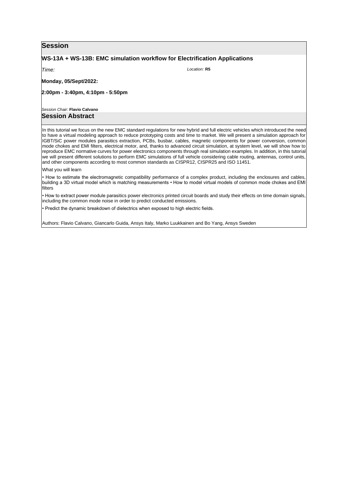## **WS-13A + WS-13B: EMC simulation workflow for Electrification Applications**

*Time:* 

**Monday, 05/Sept/2022:** 

**2:00pm - 3:40pm, 4:10pm - 5:50pm**

*Session Chair:* **Flavio Calvano**

## **Session Abstract**

In this tutorial we focus on the new EMC standard regulations for new hybrid and full electric vehicles which introduced the need to have a virtual modeling approach to reduce prototyping costs and time to market. We will present a simulation approach for IGBT/SiC power modules parasitics extraction, PCBs, busbar, cables, magnetic components for power conversion, common mode chokes and EMI filters, electrical motor, and, thanks to advanced circuit simulation, at system level, we will show how to reproduce EMC normative curves for power electronics components through real simulation examples. In addition, in this tutorial we will present different solutions to perform EMC simulations of full vehicle considering cable routing, antennas, control units, and other components according to most common standards as CISPR12, CISPR25 and ISO 11451.

*Location:* **R5**

What you will learn

• How to estimate the electromagnetic compatibility performance of a complex product, including the enclosures and cables, building a 3D virtual model which is matching measurements • How to model virtual models of common mode chokes and EMI filters

• How to extract power module parasitics power electronics printed circuit boards and study their effects on time domain signals, including the common mode noise in order to predict conducted emissions.

• Predict the dynamic breakdown of dielectrics when exposed to high electric fields.

Authors: Flavio Calvano, Giancarlo Guida, Ansys Italy, Marko Luukkainen and Bo Yang, Ansys Sweden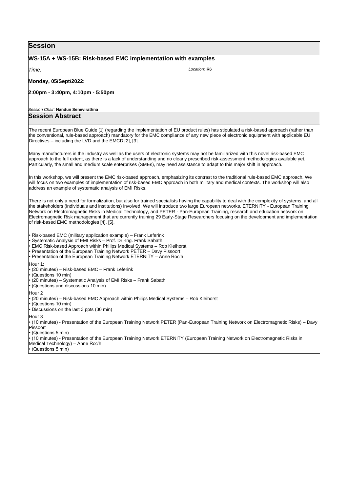## **WS-15A + WS-15B: Risk-based EMC implementation with examples**

*Time:* 

**Monday, 05/Sept/2022:** 

**2:00pm - 3:40pm, 4:10pm - 5:50pm**

*Session Chair:* **Nandun Senevirathna**

### **Session Abstract**

The recent European Blue Guide [1] (regarding the implementation of EU product rules) has stipulated a risk-based approach (rather than the conventional, rule-based approach) mandatory for the EMC compliance of any new piece of electronic equipment with applicable EU Directives – including the LVD and the EMCD [2], [3].

Many manufacturers in the industry as well as the users of electronic systems may not be familiarized with this novel risk-based EMC approach to the full extent, as there is a lack of understanding and no clearly prescribed risk-assessment methodologies available yet. Particularly, the small and medium scale enterprises (SMEs), may need assistance to adapt to this major shift in approach.

In this workshop, we will present the EMC risk-based approach, emphasizing its contrast to the traditional rule-based EMC approach. We will focus on two examples of implementation of risk-based EMC approach in both military and medical contexts. The workshop will also address an example of systematic analysis of EMI Risks.

There is not only a need for formalization, but also for trained specialists having the capability to deal with the complexity of systems, and all the stakeholders (individuals and institutions) involved. We will introduce two large European networks, ETERNITY - European Training Network on Electromagnetic Risks in Medical Technology, and PETER - Pan-European Training, research and education network on Electromagnetic Risk management that are currently training 29 Early-Stage Researchers focusing on the development and implementation of risk-based EMC methodologies [4], [5].

• Risk-based EMC (military application example) – Frank Leferink

• Systematic Analysis of EMI Risks – Prof. Dr.-Ing. Frank Sabath

• EMC Risk-based Approach within Philips Medical Systems – Rob Kleihorst

• Presentation of the European Training Network PETER – Davy Pissoort

• Presentation of the European Training Network ETERNITY – Anne Roc'h

Hour 1:

• (20 minutes) – Risk-based EMC – Frank Leferink

• (Questions 10 min)

• (20 minutes) – Systematic Analysis of EMI Risks – Frank Sabath

• (Questions and discussions 10 min)

Hour 2

• (20 minutes) – Risk-based EMC Approach within Philips Medical Systems – Rob Kleihorst

 $\cdot$  (Questions 10 min)

• Discussions on the last 3 ppts (30 min)

Hour<sub>3</sub>

• (10 minutes) - Presentation of the European Training Network PETER (Pan-European Training Network on Electromagnetic Risks) – Davy Pissoort

• (Questions 5 min)

• (10 minutes) - Presentation of the European Training Network ETERNITY (European Training Network on Electromagnetic Risks in

Medical Technology) – Anne Roc'h

• (Questions 5 min)

*Location:* **R6**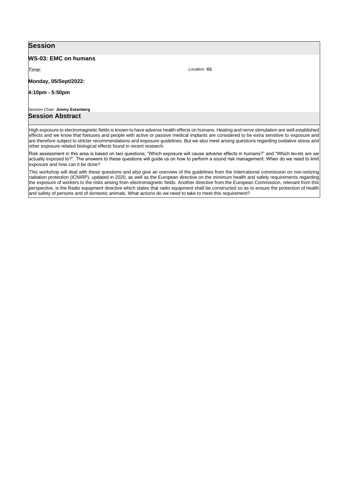#### **WS-03: EMC on humans**

*Time:* 

**Monday, 05/Sept/2022:** 

**4:10pm - 5:50pm**

*Session Chair:* **Jimmy Estenberg**

## **Session Abstract**

High exposure to electromagnetic fields is known to have adverse health effects on humans. Heating and nerve stimulation are well established effects and we know that foetuses and people with active or passive medical implants are considered to be extra sensitive to exposure and are therefore subject to stricter recommendations and exposure guidelines. But we also meet arising questions regarding oxidative stress and other exposure related biological effects found in recent research.

Risk assessment in this area is based on two questions; "Which exposure will cause adverse effects in humans?" and "Which levels are we actually exposed to?". The answers to these questions will guide us on how to perform a sound risk management: When do we need to limit exposure and how can it be done?

This workshop will deal with these questions and also give an overview of the guidelines from the International commission on non-ionizing radiation protection (ICNIRP), updated in 2020, as well as the European directive on the minimum health and safety requirements regarding the exposure of workers to the risks arising from electromagnetic fields. Another directive from the European Commission, relevant from this perspective, is the Radio equipment directive which states that radio equipment shall be constructed so as to ensure the protection of health and safety of persons and of domestic animals. What actions do we need to take to meet this requirement?

*Location:* **G1**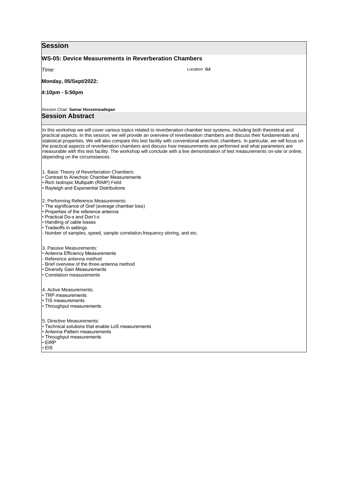| <b>Session</b>                                                                                                                                                                                                                                                                                                                                                                                                                                                                                                                                                                                                                                                                                   |  |  |  |  |  |  |  |
|--------------------------------------------------------------------------------------------------------------------------------------------------------------------------------------------------------------------------------------------------------------------------------------------------------------------------------------------------------------------------------------------------------------------------------------------------------------------------------------------------------------------------------------------------------------------------------------------------------------------------------------------------------------------------------------------------|--|--|--|--|--|--|--|
| <b>WS-05: Device Measurements in Reverberation Chambers</b>                                                                                                                                                                                                                                                                                                                                                                                                                                                                                                                                                                                                                                      |  |  |  |  |  |  |  |
| Location: G <sub>2</sub><br>Time:                                                                                                                                                                                                                                                                                                                                                                                                                                                                                                                                                                                                                                                                |  |  |  |  |  |  |  |
| Monday, 05/Sept/2022:                                                                                                                                                                                                                                                                                                                                                                                                                                                                                                                                                                                                                                                                            |  |  |  |  |  |  |  |
| 4:10pm - 5:50pm                                                                                                                                                                                                                                                                                                                                                                                                                                                                                                                                                                                                                                                                                  |  |  |  |  |  |  |  |
| Session Chair: Samar Hosseinzadegan                                                                                                                                                                                                                                                                                                                                                                                                                                                                                                                                                                                                                                                              |  |  |  |  |  |  |  |
| <b>Session Abstract</b>                                                                                                                                                                                                                                                                                                                                                                                                                                                                                                                                                                                                                                                                          |  |  |  |  |  |  |  |
| In this workshop we will cover various topics related to reverberation chamber test systems, including both theoretical and<br>practical aspects. In this session, we will provide an overview of reverberation chambers and discuss their fundamentals and<br>statistical properties. We will also compare this test facility with conventional anechoic chambers. In particular, we will focus on<br>the practical aspects of reverberation chambers and discuss how measurements are performed and what parameters are<br>measurable with this test facility. The workshop will conclude with a live demonstration of test measurements on-site or online,<br>depending on the circumstances. |  |  |  |  |  |  |  |
| 1. Basic Theory of Reverberation Chambers:<br>• Contrast to Anechoic Chamber Measurements<br>• Rich Isotropic Multipath (RIMP) Field<br>• Rayleigh and Exponential Distributions                                                                                                                                                                                                                                                                                                                                                                                                                                                                                                                 |  |  |  |  |  |  |  |
| 2. Performing Reference Measurements:<br>• The significance of Gref (average chamber loss)<br>• Properties of the reference antenna<br>• Practical Do-s and Don't-s<br>• Handling of cable losses<br>• Tradeoffs in settings<br>- Number of samples, speed, sample correlation, frequency stirring, and etc.                                                                                                                                                                                                                                                                                                                                                                                     |  |  |  |  |  |  |  |
| 3. Passive Measurements:<br>• Antenna Efficiency Measurements<br>- Reference antenna method<br>- Brief overview of the three-antenna method<br>• Diversity Gain Measurements<br>• Correlation measurements                                                                                                                                                                                                                                                                                                                                                                                                                                                                                       |  |  |  |  |  |  |  |
| 4. Active Measurements:<br>• TRP measurements<br>• TIS measurements<br>• Throughput measurements                                                                                                                                                                                                                                                                                                                                                                                                                                                                                                                                                                                                 |  |  |  |  |  |  |  |
| 5. Directive Measurements:<br>• Technical solutions that enable LoS measurements<br>• Antenna Pattern measurements<br>• Throughput measurements<br>$\cdot$ EIRP<br>• EIS                                                                                                                                                                                                                                                                                                                                                                                                                                                                                                                         |  |  |  |  |  |  |  |